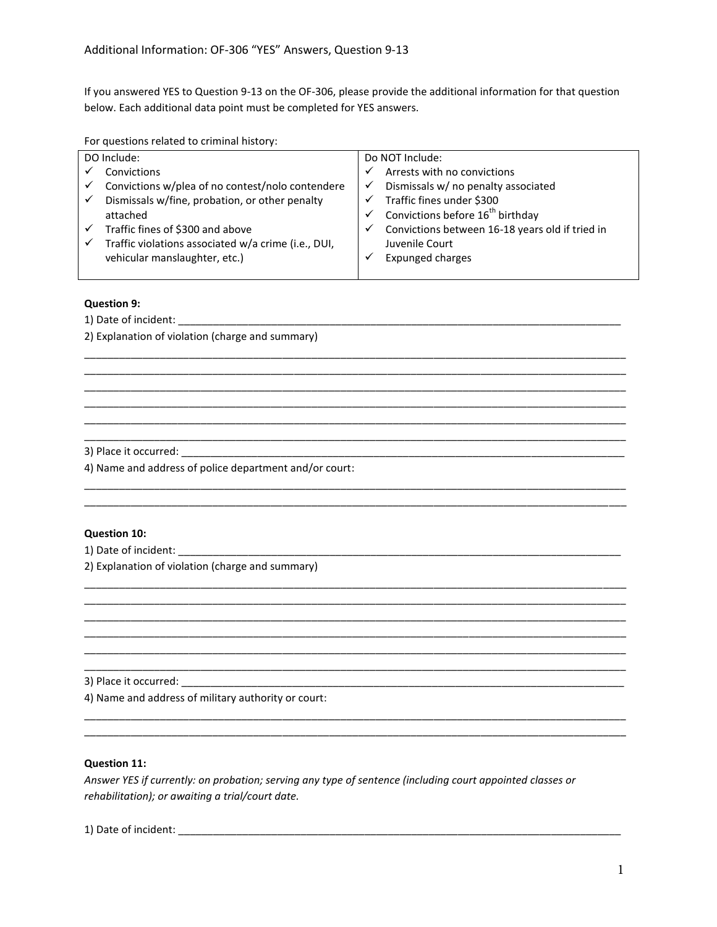If you answered YES to Question 9-13 on the OF-306, please provide the additional information for that question below. Each additional data point must be completed for YES answers.

For questions related to criminal history:

| DO Include:  |                                                     | Do NOT Include: |                                                 |
|--------------|-----------------------------------------------------|-----------------|-------------------------------------------------|
|              | Convictions                                         |                 | Arrests with no convictions                     |
|              | Convictions w/plea of no contest/nolo contendere    |                 | Dismissals w/ no penalty associated             |
| $\checkmark$ | Dismissals w/fine, probation, or other penalty      |                 | Traffic fines under \$300                       |
|              | attached                                            |                 | Convictions before 16 <sup>th</sup> birthday    |
|              | Traffic fines of \$300 and above                    | ✓               | Convictions between 16-18 years old if tried in |
|              | Traffic violations associated w/a crime (i.e., DUI, |                 | Juvenile Court                                  |
|              | vehicular manslaughter, etc.)                       |                 | <b>Expunged charges</b>                         |
|              |                                                     |                 |                                                 |

\_\_\_\_\_\_\_\_\_\_\_\_\_\_\_\_\_\_\_\_\_\_\_\_\_\_\_\_\_\_\_\_\_\_\_\_\_\_\_\_\_\_\_\_\_\_\_\_\_\_\_\_\_\_\_\_\_\_\_\_\_\_\_\_\_\_\_\_\_\_\_\_\_\_\_\_\_\_\_\_\_\_\_\_\_\_\_\_\_\_\_\_\_ \_\_\_\_\_\_\_\_\_\_\_\_\_\_\_\_\_\_\_\_\_\_\_\_\_\_\_\_\_\_\_\_\_\_\_\_\_\_\_\_\_\_\_\_\_\_\_\_\_\_\_\_\_\_\_\_\_\_\_\_\_\_\_\_\_\_\_\_\_\_\_\_\_\_\_\_\_\_\_\_\_\_\_\_\_\_\_\_\_\_\_\_\_ \_\_\_\_\_\_\_\_\_\_\_\_\_\_\_\_\_\_\_\_\_\_\_\_\_\_\_\_\_\_\_\_\_\_\_\_\_\_\_\_\_\_\_\_\_\_\_\_\_\_\_\_\_\_\_\_\_\_\_\_\_\_\_\_\_\_\_\_\_\_\_\_\_\_\_\_\_\_\_\_\_\_\_\_\_\_\_\_\_\_\_\_\_ \_\_\_\_\_\_\_\_\_\_\_\_\_\_\_\_\_\_\_\_\_\_\_\_\_\_\_\_\_\_\_\_\_\_\_\_\_\_\_\_\_\_\_\_\_\_\_\_\_\_\_\_\_\_\_\_\_\_\_\_\_\_\_\_\_\_\_\_\_\_\_\_\_\_\_\_\_\_\_\_\_\_\_\_\_\_\_\_\_\_\_\_\_ \_\_\_\_\_\_\_\_\_\_\_\_\_\_\_\_\_\_\_\_\_\_\_\_\_\_\_\_\_\_\_\_\_\_\_\_\_\_\_\_\_\_\_\_\_\_\_\_\_\_\_\_\_\_\_\_\_\_\_\_\_\_\_\_\_\_\_\_\_\_\_\_\_\_\_\_\_\_\_\_\_\_\_\_\_\_\_\_\_\_\_\_\_ \_\_\_\_\_\_\_\_\_\_\_\_\_\_\_\_\_\_\_\_\_\_\_\_\_\_\_\_\_\_\_\_\_\_\_\_\_\_\_\_\_\_\_\_\_\_\_\_\_\_\_\_\_\_\_\_\_\_\_\_\_\_\_\_\_\_\_\_\_\_\_\_\_\_\_\_\_\_\_\_\_\_\_\_\_\_\_\_\_\_\_\_\_

\_\_\_\_\_\_\_\_\_\_\_\_\_\_\_\_\_\_\_\_\_\_\_\_\_\_\_\_\_\_\_\_\_\_\_\_\_\_\_\_\_\_\_\_\_\_\_\_\_\_\_\_\_\_\_\_\_\_\_\_\_\_\_\_\_\_\_\_\_\_\_\_\_\_\_\_\_\_\_\_\_\_\_\_\_\_\_\_\_\_\_\_\_ \_\_\_\_\_\_\_\_\_\_\_\_\_\_\_\_\_\_\_\_\_\_\_\_\_\_\_\_\_\_\_\_\_\_\_\_\_\_\_\_\_\_\_\_\_\_\_\_\_\_\_\_\_\_\_\_\_\_\_\_\_\_\_\_\_\_\_\_\_\_\_\_\_\_\_\_\_\_\_\_\_\_\_\_\_\_\_\_\_\_\_\_\_

\_\_\_\_\_\_\_\_\_\_\_\_\_\_\_\_\_\_\_\_\_\_\_\_\_\_\_\_\_\_\_\_\_\_\_\_\_\_\_\_\_\_\_\_\_\_\_\_\_\_\_\_\_\_\_\_\_\_\_\_\_\_\_\_\_\_\_\_\_\_\_\_\_\_\_\_\_\_\_\_\_\_\_\_\_\_\_\_\_\_\_\_\_ \_\_\_\_\_\_\_\_\_\_\_\_\_\_\_\_\_\_\_\_\_\_\_\_\_\_\_\_\_\_\_\_\_\_\_\_\_\_\_\_\_\_\_\_\_\_\_\_\_\_\_\_\_\_\_\_\_\_\_\_\_\_\_\_\_\_\_\_\_\_\_\_\_\_\_\_\_\_\_\_\_\_\_\_\_\_\_\_\_\_\_\_\_ \_\_\_\_\_\_\_\_\_\_\_\_\_\_\_\_\_\_\_\_\_\_\_\_\_\_\_\_\_\_\_\_\_\_\_\_\_\_\_\_\_\_\_\_\_\_\_\_\_\_\_\_\_\_\_\_\_\_\_\_\_\_\_\_\_\_\_\_\_\_\_\_\_\_\_\_\_\_\_\_\_\_\_\_\_\_\_\_\_\_\_\_\_ \_\_\_\_\_\_\_\_\_\_\_\_\_\_\_\_\_\_\_\_\_\_\_\_\_\_\_\_\_\_\_\_\_\_\_\_\_\_\_\_\_\_\_\_\_\_\_\_\_\_\_\_\_\_\_\_\_\_\_\_\_\_\_\_\_\_\_\_\_\_\_\_\_\_\_\_\_\_\_\_\_\_\_\_\_\_\_\_\_\_\_\_\_ \_\_\_\_\_\_\_\_\_\_\_\_\_\_\_\_\_\_\_\_\_\_\_\_\_\_\_\_\_\_\_\_\_\_\_\_\_\_\_\_\_\_\_\_\_\_\_\_\_\_\_\_\_\_\_\_\_\_\_\_\_\_\_\_\_\_\_\_\_\_\_\_\_\_\_\_\_\_\_\_\_\_\_\_\_\_\_\_\_\_\_\_\_ \_\_\_\_\_\_\_\_\_\_\_\_\_\_\_\_\_\_\_\_\_\_\_\_\_\_\_\_\_\_\_\_\_\_\_\_\_\_\_\_\_\_\_\_\_\_\_\_\_\_\_\_\_\_\_\_\_\_\_\_\_\_\_\_\_\_\_\_\_\_\_\_\_\_\_\_\_\_\_\_\_\_\_\_\_\_\_\_\_\_\_\_\_

\_\_\_\_\_\_\_\_\_\_\_\_\_\_\_\_\_\_\_\_\_\_\_\_\_\_\_\_\_\_\_\_\_\_\_\_\_\_\_\_\_\_\_\_\_\_\_\_\_\_\_\_\_\_\_\_\_\_\_\_\_\_\_\_\_\_\_\_\_\_\_\_\_\_\_\_\_\_\_\_\_\_\_\_\_\_\_\_\_\_\_\_\_ \_\_\_\_\_\_\_\_\_\_\_\_\_\_\_\_\_\_\_\_\_\_\_\_\_\_\_\_\_\_\_\_\_\_\_\_\_\_\_\_\_\_\_\_\_\_\_\_\_\_\_\_\_\_\_\_\_\_\_\_\_\_\_\_\_\_\_\_\_\_\_\_\_\_\_\_\_\_\_\_\_\_\_\_\_\_\_\_\_\_\_\_\_

## **Question 9:**

1) Date of incident:

2) Explanation of violation (charge and summary)

# 3) Place it occurred: \_\_\_\_\_\_\_\_\_\_\_\_\_\_\_\_\_\_\_\_\_\_\_\_\_\_\_\_\_\_\_\_\_\_\_\_\_\_\_\_\_\_\_\_\_\_\_\_\_\_\_\_\_\_\_\_\_\_\_\_\_\_\_\_\_\_\_\_\_\_\_\_\_\_\_\_

4) Name and address of police department and/or court:

#### **Question 10:**

1) Date of incident: \_\_\_\_\_\_\_\_\_\_\_\_\_\_\_\_\_\_\_\_\_\_\_\_\_\_\_\_\_\_\_\_\_\_\_\_\_\_\_\_\_\_\_\_\_\_\_\_\_\_\_\_\_\_\_\_\_\_\_\_\_\_\_\_\_\_\_\_\_\_\_\_\_\_\_\_

2) Explanation of violation (charge and summary)

3) Place it occurred:

4) Name and address of military authority or court:

#### **Question 11:**

*Answer YES if currently: on probation; serving any type of sentence (including court appointed classes or rehabilitation); or awaiting a trial/court date.* 

1) Date of incident: \_\_\_\_\_\_\_\_\_\_\_\_\_\_\_\_\_\_\_\_\_\_\_\_\_\_\_\_\_\_\_\_\_\_\_\_\_\_\_\_\_\_\_\_\_\_\_\_\_\_\_\_\_\_\_\_\_\_\_\_\_\_\_\_\_\_\_\_\_\_\_\_\_\_\_\_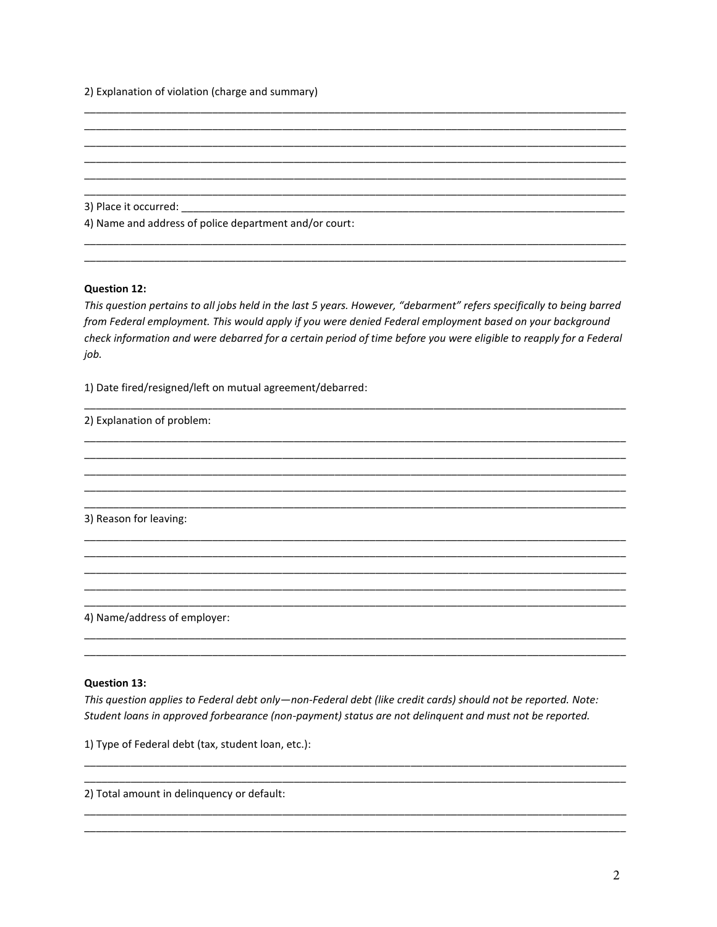2) Explanation of violation (charge and summary)

3) Place it occurred: \_\_\_\_\_\_\_\_\_

4) Name and address of police department and/or court:

### **Question 12:**

This question pertains to all jobs held in the last 5 years. However, "debarment" refers specifically to being barred from Federal employment. This would apply if you were denied Federal employment based on your background check information and were debarred for a certain period of time before you were eligible to reapply for a Federal job.

1) Date fired/resigned/left on mutual agreement/debarred:

2) Explanation of problem:

3) Reason for leaving:

4) Name/address of employer:

#### **Question 13:**

This question applies to Federal debt only-non-Federal debt (like credit cards) should not be reported. Note: Student loans in approved forbearance (non-payment) status are not delinquent and must not be reported.

1) Type of Federal debt (tax, student loan, etc.):

2) Total amount in delinguency or default: